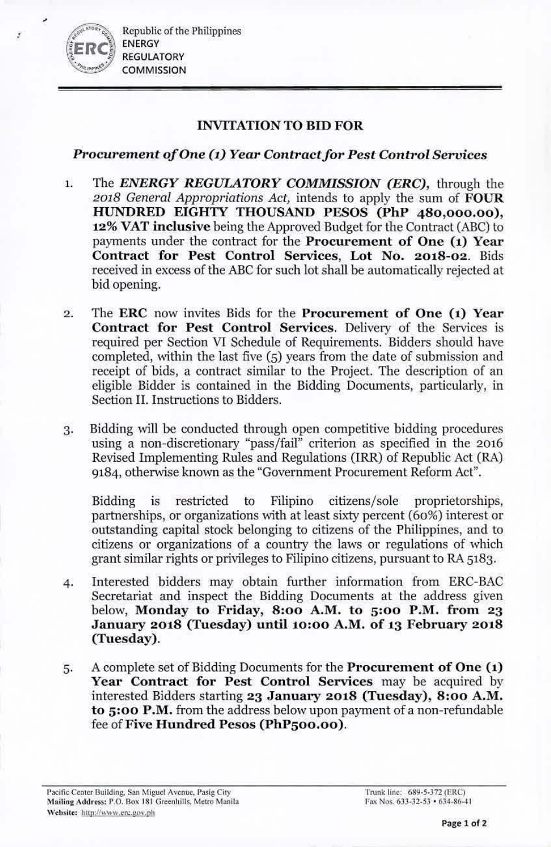, *~.,J.'"''*00;. Republic of the Philippines ENERGY **REGULATORY COMMISSION** 

# INVITATION TO BID FOR

# *Procurement of One (1) Year Contract for Pest Control Services*

- 1. The *F.NRRGY REGUIATORY COMMISSION (ERC),* through the *2018 General Appropriations Act,* intends to apply the sum of FOUR HUNDRED EIGHTY THOUSAND PESOS (PhP 480,000.00), 12% VAT inclusive being the Approved Budget for the Contract (ABC) to payments under the contract for the Procurement of One (1) Year Contract for Pest Control Services, Lot No. 2018-02. Bids received in excess of the ABC for such lot shall be automatically rejected at bid opening.
- 2. The ERC now invites Bids for the Procurement of One (1) Year Contract for Pest Control Services. Delivery of the Services is required per Section VI Schedule of Requirements. Bidders should have completed, within the last five (5) years from the date of submission and receipt of bids, a contract similar to the Project. The description of an eligible Bidder is contained in the Bidding Documents, particularly, in Section II. Instructions to Bidders.
- 3. Bidding will be conducted through open competitive bidding procedures using a non-discretionary "pass/fail" criterion as specified in the 2016 Revised Implementing Rules and Regulations (IRR) of Republic Act (RA) 9184, otherwise known as the "Government Procurement Reform Act".

Bidding is restricted to Filipino citizens/sole proprietorships, partnerships, or organizations with at least sixty percent  $(60\%)$  interest or outstanding capital stock belonging to citizens of the Philippines, and to citizens or organizations of a country the laws or regulations of which grant similar rights or privileges to Filipino citizens, pursuant to RA 5183.

- 4. Interested bidders may obtain further information from ERC-BAC Secretariat and inspect the Bidding Documents at the address given below, Monday to Friday, 8:00 A.M. to 5:00 P.M. from 23 January 2018 (Tuesday) until 10:00 A.M. of 13 February 2018 (Tuesday).
- 5. A complete set of Bidding Documents for the Procurement of One (1) Year Contract for Pest Control Services may be acquired by interested Bidders starting 23 January 2018 (Tuesday), 8:00 A.M. to 5:00 P.M. from the address below upon payment of a non-refundable fee of Five Hundred Pesos (PhP500.00).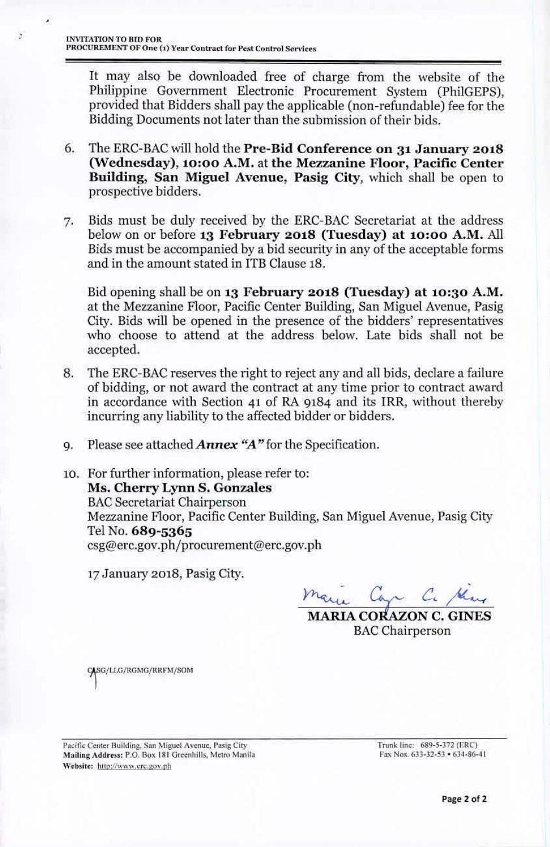It may also be downloaded free of charge from the website of the Philippine Government Electronic Procurement System (PhiIGEPS), provided that Bidders shall pay the applicable (non-refundable) fee for the Bidding Documents not later than the submission of their bids.

- 6. The ERC-BAC will hold the Pre-Bid Conference on 31 January 2018 (Wednesday), 10:00 A.M. at the Mezzanine Floor, Pacific Center Building, San Miguel Avenue, Pasig City, which shall be open to prospective bidders.
- 7. Bids must be duly received by the ERC-BAC Secretariat at the address below on or before 13 February 2018 (Tuesday) at 10:00 A.M. All Bids must be accompanied by a bid security in any of the acceptable forms and in the amount stated in ITB Clause 18.

Bid opening shall be on 13 February 2018 (Tuesday) at 10:30 A.M. at the Mezzanine Floor, Pacific Center Building, San Miguel Avenue, Pasig City. Bids will be opened in the presence of the bidders' representatives who choose to attend at the address below. Late bids shall not be accepted.

- 8. The ERC-BAC reserves the right to reject any and all bids, declare a failure of bidding, or not award the contract at any time prior to contract award in accordance with Section 41 of RA 9184 and its IRR, without thereby incurring any liability to the affected bidder or bidders.
- 9. Please see attached **Annex** "A" for the Specification.
- 10. For further information, please refer to; Ms. Cherry Lynn S. Gonzales **BAC Secretariat Chairperson** Mezzanine Floor, Pacific Center Building, San Miguel Avcnue, Pasig City TelNo. 689.5365 csg@erc.gov.ph/procurement@erc.gov.ph

17January 2018, Pasig City.

 $C_{\alpha}$   $C_{\alpha}$  *May* 

**MARIA CORAZON C. GINES BAC** Chairperson

CASG/LLG/RGMG/RRFM/SOM

Pacific Center Building, San Miguel Avenue, Pasig City Mailing Address: P.O. Box 181 Greenhills, Metro Manila Website: http://www.erc.gov.ph

Trunk line: 689-5-372 (ERC) Fax Nos. 633-32-53 · 634-86-41

•